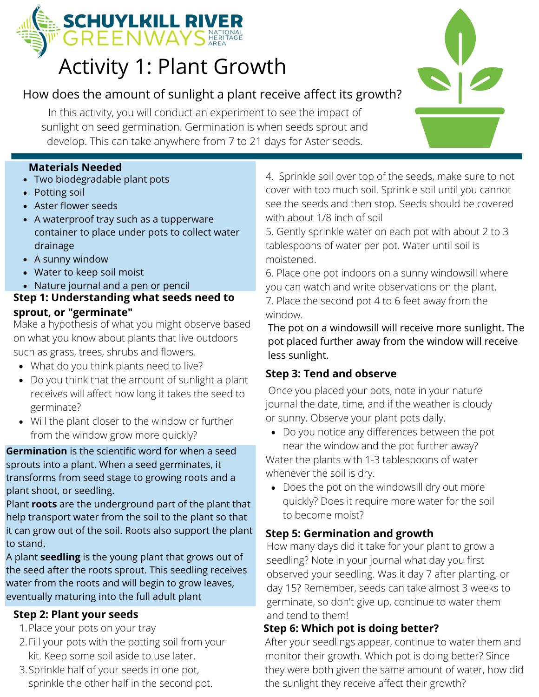

# Activity 1: Plant Growth

# How does the amount of sunlight a plant receive affect its growth?

In this activity, you will conduct an experiment to see the impact of sunlight on seed germination. Germination is when seeds sprout and develop. This can take anywhere from 7 to 21 days for Aster seeds.

#### **Materials Needed**

- Two biodegradable plant pots
- Potting soil
- Aster flower seeds
- A waterproof tray such as a tupperware container to place under pots to collect water drainage
- A sunny window
- Water to keep soil moist
- Nature journal and a pen or pencil

#### **Step 1: Understanding what seeds need to sprout, or "germinate"**

Make a hypothesis of what you might observe based on what you know about plants that live outdoors such as grass, trees, shrubs and flowers.

- What do you think plants need to live?
- Do you think that the amount of sunlight a plant receives will affect how long it takes the seed to germinate?
- Will the plant closer to the window or further from the window grow more quickly?

**Germination** is the scientific word for when a seed sprouts into a plant. When a seed germinates, it transforms from seed stage to growing roots and a plant shoot, or seedling.

Plant **roots** are the underground part of the plant that help transport water from the soil to the plant so that it can grow out of the soil. Roots also support the plant to stand.

A plant **seedling** is the young plant that grows out of the seed after the roots sprout. This seedling receives water from the roots and will begin to grow leaves, eventually maturing into the full adult plant

#### **Step 2: Plant your seeds**

- 1. Place your pots on your tray
- 2. Fill your pots with the potting soil from your kit. Keep some soil aside to use later.
- 3. Sprinkle half of your seeds in one pot, sprinkle the other half in the second pot.

4. Sprinkle soil over top of the seeds, make sure to not cover with too much soil. Sprinkle soil until you cannot see the seeds and then stop. Seeds should be covered with about 1/8 inch of soil

5. Gently sprinkle water on each pot with about 2 to 3 tablespoons of water per pot. Water until soil is moistened.

6. Place one pot indoors on a sunny windowsill where you can watch and write observations on the plant. 7. Place the second pot 4 to 6 feet away from the window.

The pot on a windowsill will receive more sunlight. The pot placed further away from the window will receive less sunlight.

## **Step 3: Tend and observe**

Once you placed your pots, note in your nature journal the date, time, and if the weather is cloudy or sunny. Observe your plant pots daily.

Do you notice any differences between the pot near the window and the pot further away? Water the plants with 1-3 tablespoons of water

whenever the soil is dry.

Does the pot on the windowsill dry out more quickly? Does it require more water for the soil to become moist?

#### **Step 5: Germination and growth**

How many days did it take for your plant to grow a seedling? Note in your journal what day you first observed your seedling. Was it day 7 after planting, or day 15? Remember, seeds can take almost 3 weeks to germinate, so don't give up, continue to water them and tend to them!

## **Step 6: Which pot is doing better?**

After your seedlings appear, continue to water them and monitor their growth. Which pot is doing better? Since they were both given the same amount of water, how did the sunlight they receive affect their growth?

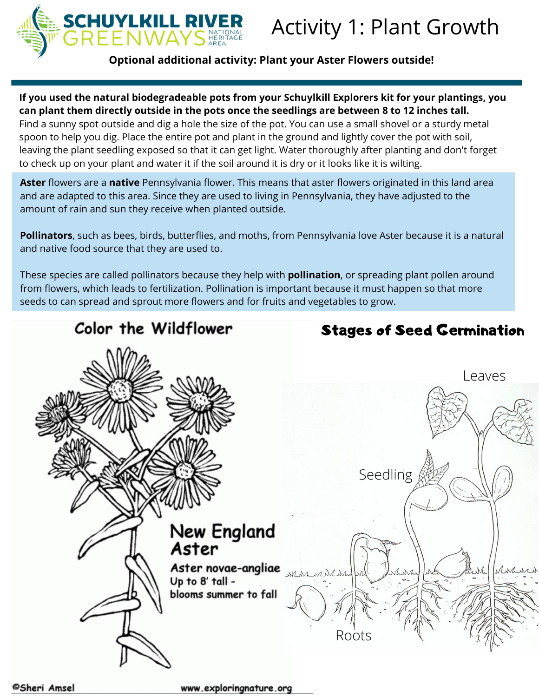

**Optional additional activity: Plant your Aster Flowers outside!**

**If you used the natural biodegradeable pots from your Schuylkill Explorers kit for your plantings, you can plant them directly outside in the pots once the seedlings are between 8 to 12 inches tall.**

Find a sunny spot outside and dig a hole the size of the pot. You can use a small shovel or a sturdy metal spoon to help you dig. Place the entire pot and plant in the ground and lightly cover the pot with soil, leaving the plant seedling exposed so that it can get light. Water thoroughly after planting and don't forget to check up on your plant and water it if the soil around it is dry or it looks like it is wilting.

**Aster** flowers are a **native** Pennsylvania flower. This means that aster flowers originated in this land area and are adapted to this area. Since they are used to living in Pennsylvania, they have adjusted to the amount of rain and sun they receive when planted outside.

**Pollinators**, such as bees, birds, butterflies, and moths, from Pennsylvania love Aster because it is a natural and native food source that they are used to.

These species are called pollinators because they help with **pollination**, or spreading plant pollen around from flowers, which leads to fertilization. Pollination is important because it must happen so that more seeds to can spread and sprout more flowers and for fruits and vegetables to grow.

# Color the Wildflower

Stages of Seed Germination